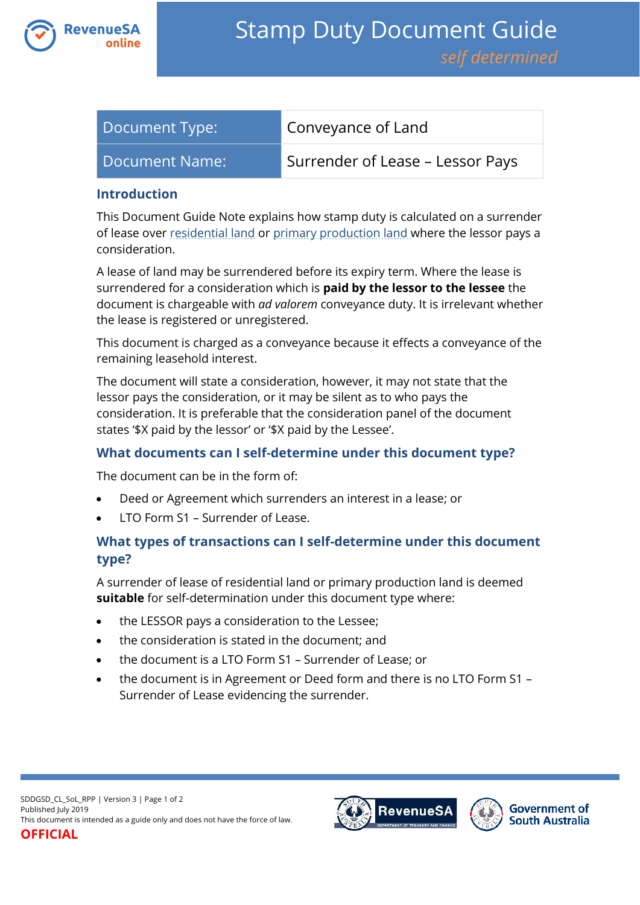

| Document Type: | Conveyance of Land               |
|----------------|----------------------------------|
| Document Name: | Surrender of Lease – Lessor Pays |

#### **Introduction**

This Document Guide Note explains how stamp duty is calculated on a surrender of lease over [residential land](https://www.revenuesa.sa.gov.au/stampduty/stamp-duty-document-guide#RR&PP) or [primary production land](https://www.revenuesa.sa.gov.au/stampduty/stamp-duty-document-guide#RR&PP) where the lessor pays a consideration.

A lease of land may be surrendered before its expiry term. Where the lease is surrendered for a consideration which is **paid by the lessor to the lessee** the document is chargeable with *ad valorem* conveyance duty. It is irrelevant whether the lease is registered or unregistered.

This document is charged as a conveyance because it effects a conveyance of the remaining leasehold interest.

The document will state a consideration, however, it may not state that the lessor pays the consideration, or it may be silent as to who pays the consideration. It is preferable that the consideration panel of the document states '\$X paid by the lessor' or '\$X paid by the Lessee'.

## **What documents can I self-determine under this document type?**

The document can be in the form of:

- Deed or Agreement which surrenders an interest in a lease; or
- LTO Form S1 Surrender of Lease.

# **What types of transactions can I self-determine under this document type?**

A surrender of lease of residential land or primary production land is deemed **suitable** for self-determination under this document type where:

- the LESSOR pays a consideration to the Lessee;
- the consideration is stated in the document; and
- the document is a LTO Form S1 Surrender of Lease; or
- the document is in Agreement or Deed form and there is no LTO Form S1 Surrender of Lease evidencing the surrender.